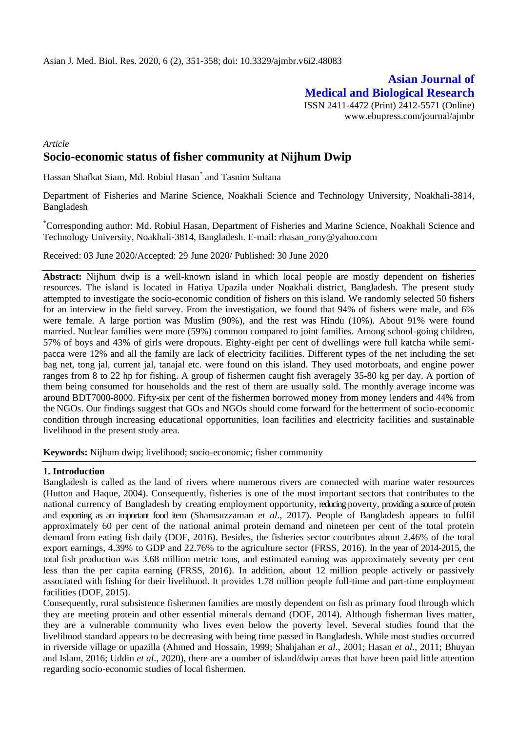# **Asian Journal of Medical and Biological Research** ISSN 2411-4472 (Print) 2412-5571 (Online)

www.ebupress.com/journal/ajmbr

# *Article* **Socio-economic status of fisher community at Nijhum Dwip**

Hassan Shafkat Siam, Md. Robiul Hasan\* and Tasnim Sultana

Department of Fisheries and Marine Science, Noakhali Science and Technology University, Noakhali-3814, Bangladesh

\*Corresponding author: Md. Robiul Hasan, Department of Fisheries and Marine Science, Noakhali Science and Technology University, Noakhali-3814, Bangladesh. E-mail: rhasan\_rony@yahoo.com

Received: 03 June 2020/Accepted: 29 June 2020/ Published: 30 June 2020

**Abstract:** Nijhum dwip is a well-known island in which local people are mostly dependent on fisheries resources. The island is located in Hatiya Upazila under Noakhali district, Bangladesh. The present study attempted to investigate the socio-economic condition of fishers on this island. We randomly selected 50 fishers for an interview in the field survey. From the investigation, we found that 94% of fishers were male, and 6% were female. A large portion was Muslim (90%), and the rest was Hindu (10%). About 91% were found married. Nuclear families were more (59%) common compared to joint families. Among school-going children, 57% of boys and 43% of girls were dropouts. Eighty-eight per cent of dwellings were full katcha while semipacca were 12% and all the family are lack of electricity facilities. Different types of the net including the set bag net, tong jal, current jal, tanajal etc. were found on this island. They used motorboats, and engine power ranges from 8 to 22 hp for fishing. A group of fishermen caught fish averagely 35-80 kg per day. A portion of them being consumed for households and the rest of them are usually sold. The monthly average income was around BDT7000-8000. Fifty-six per cent of the fishermen borrowed money from money lenders and 44% from the NGOs. Our findings suggest that GOs and NGOs should come forward for the betterment of socio-economic condition through increasing educational opportunities, loan facilities and electricity facilities and sustainable livelihood in the present study area.

**Keywords:** Nijhum dwip; livelihood; socio-economic; fisher community

#### **1. Introduction**

Bangladesh is called as the land of rivers where numerous rivers are connected with marine water resources (Hutton and Haque, 2004). Consequently, fisheries is one of the most important sectors that contributes to the national currency of Bangladesh by creating employment opportunity, reducing poverty, providing a source of protein and exporting as an important food item (Shamsuzzaman *et al*., 2017). People of Bangladesh appears to fulfil approximately 60 per cent of the national animal protein demand and nineteen per cent of the total protein demand from eating fish daily (DOF, 2016). Besides, the fisheries sector contributes about 2.46% of the total export earnings, 4.39% to GDP and 22.76% to the agriculture sector (FRSS, 2016). In the year of 2014-2015, the total fish production was 3.68 million metric tons, and estimated earning was approximately seventy per cent less than the per capita earning (FRSS, 2016). In addition, about 12 million people actively or passively associated with fishing for their livelihood. It provides 1.78 million people full-time and part-time employment facilities (DOF, 2015).

Consequently, rural subsistence fishermen families are mostly dependent on fish as primary food through which they are meeting protein and other essential minerals demand (DOF, 2014). Although fisherman lives matter, they are a vulnerable community who lives even below the poverty level. Several studies found that the livelihood standard appears to be decreasing with being time passed in Bangladesh. While most studies occurred in riverside village or upazilla (Ahmed and Hossain, 1999; Shahjahan *et al*., 2001; Hasan *et al*., 2011; Bhuyan and Islam, 2016; Uddin *et al*., 2020), there are a number of island/dwip areas that have been paid little attention regarding socio-economic studies of local fishermen.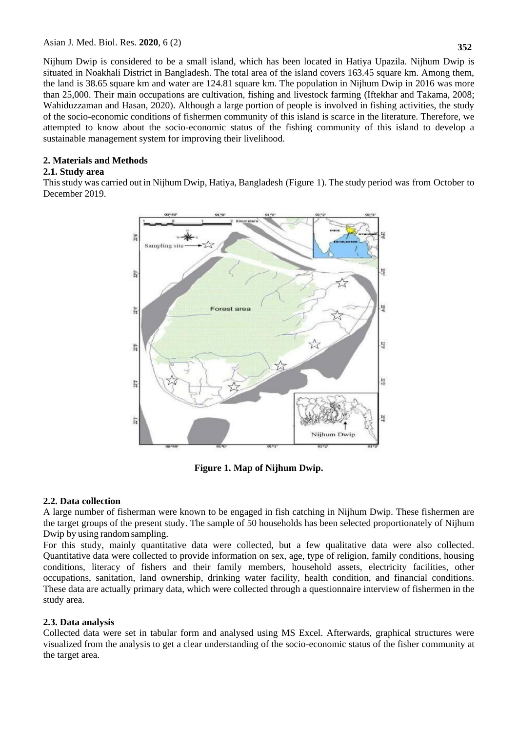Nijhum Dwip is considered to be a small island, which has been located in Hatiya Upazila. Nijhum Dwip is situated in Noakhali District in Bangladesh. The total area of the island covers 163.45 square km. Among them, the land is 38.65 square km and water are 124.81 square km. The population in Nijhum Dwip in 2016 was more than 25,000. Their main occupations are cultivation, fishing and livestock farming (Iftekhar and Takama, 2008; Wahiduzzaman and Hasan, 2020). Although a large portion of people is involved in fishing activities, the study of the socio-economic conditions of fishermen community of this island is scarce in the literature. Therefore, we attempted to know about the socio-economic status of the fishing community of this island to develop a sustainable management system for improving their livelihood.

# **2. Materials and Methods**

## **2.1. Study area**

Thisstudy was carried out in Nijhum Dwip, Hatiya, Bangladesh (Figure 1). The study period was from October to December 2019.



**Figure 1. Map of Nijhum Dwip.**

## **2.2. Data collection**

A large number of fisherman were known to be engaged in fish catching in Nijhum Dwip. These fishermen are the target groups of the present study. The sample of 50 households has been selected proportionately of Nijhum Dwip by using randomsampling.

For this study, mainly quantitative data were collected, but a few qualitative data were also collected. Quantitative data were collected to provide information on sex, age, type of religion, family conditions, housing conditions, literacy of fishers and their family members, household assets, electricity facilities, other occupations, sanitation, land ownership, drinking water facility, health condition, and financial conditions. These data are actually primary data, which were collected through a questionnaire interview of fishermen in the study area.

# **2.3. Data analysis**

Collected data were set in tabular form and analysed using MS Excel. Afterwards, graphical structures were visualized from the analysis to get a clear understanding of the socio-economic status of the fisher community at the target area.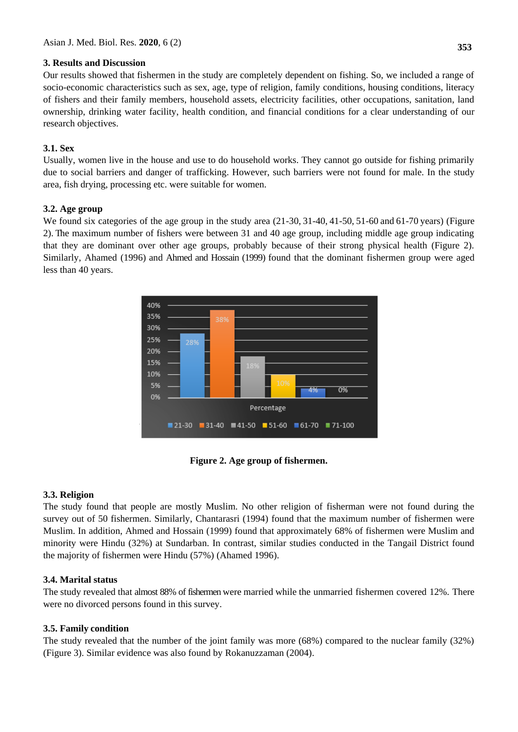# **3. Results and Discussion**

Our results showed that fishermen in the study are completely dependent on fishing. So, we included a range of socio-economic characteristics such as sex, age, type of religion, family conditions, housing conditions, literacy of fishers and their family members, household assets, electricity facilities, other occupations, sanitation, land ownership, drinking water facility, health condition, and financial conditions for a clear understanding of our research objectives.

# **3.1. Sex**

Usually, women live in the house and use to do household works. They cannot go outside for fishing primarily due to social barriers and danger of trafficking. However, such barriers were not found for male. In the study area, fish drying, processing etc. were suitable for women.

## **3.2. Age group**

We found six categories of the age group in the study area  $(21-30, 31-40, 41-50, 51-60)$  and  $(61-70, 61)$  (Figure 2). The maximum number of fishers were between 31 and 40 age group, including middle age group indicating that they are dominant over other age groups, probably because of their strong physical health (Figure 2). Similarly, Ahamed (1996) and Ahmed and Hossain (1999) found that the dominant fishermen group were aged less than 40 years.



**Figure 2. Age group of fishermen.**

## **3.3. Religion**

The study found that people are mostly Muslim. No other religion of fisherman were not found during the survey out of 50 fishermen. Similarly, Chantarasri (1994) found that the maximum number of fishermen were Muslim. In addition, Ahmed and Hossain (1999) found that approximately 68% of fishermen were Muslim and minority were Hindu (32%) at Sundarban. In contrast, similar studies conducted in the Tangail District found the majority of fishermen were Hindu (57%) (Ahamed 1996).

# **3.4. Marital status**

The study revealed that almost 88% of fishermen were married while the unmarried fishermen covered 12%. There were no divorced persons found in this survey.

## **3.5. Family condition**

The study revealed that the number of the joint family was more (68%) compared to the nuclear family (32%) (Figure 3). Similar evidence was also found by Rokanuzzaman (2004).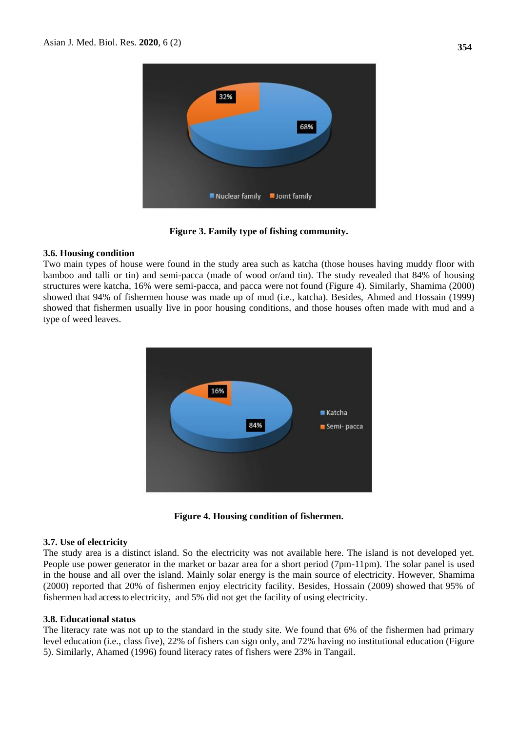

**Figure 3. Family type of fishing community.**

## **3.6. Housing condition**

Two main types of house were found in the study area such as katcha (those houses having muddy floor with bamboo and talli or tin) and semi-pacca (made of wood or/and tin). The study revealed that 84% of housing structures were katcha, 16% were semi-pacca, and pacca were not found (Figure 4). Similarly, Shamima (2000) showed that 94% of fishermen house was made up of mud (i.e., katcha). Besides, Ahmed and Hossain (1999) showed that fishermen usually live in poor housing conditions, and those houses often made with mud and a type of weed leaves.



**Figure 4. Housing condition of fishermen.**

# **3.7. Use of electricity**

The study area is a distinct island. So the electricity was not available here. The island is not developed yet. People use power generator in the market or bazar area for a short period (7pm-11pm). The solar panel is used in the house and all over the island. Mainly solar energy is the main source of electricity. However, Shamima (2000) reported that 20% of fishermen enjoy electricity facility. Besides, Hossain (2009) showed that 95% of fishermen had access to electricity, and 5% did not get the facility of using electricity.

## **3.8. Educational status**

The literacy rate was not up to the standard in the study site. We found that 6% of the fishermen had primary level education (i.e., class five), 22% of fishers can sign only, and 72% having no institutional education (Figure 5). Similarly, Ahamed (1996) found literacy rates of fishers were 23% in Tangail.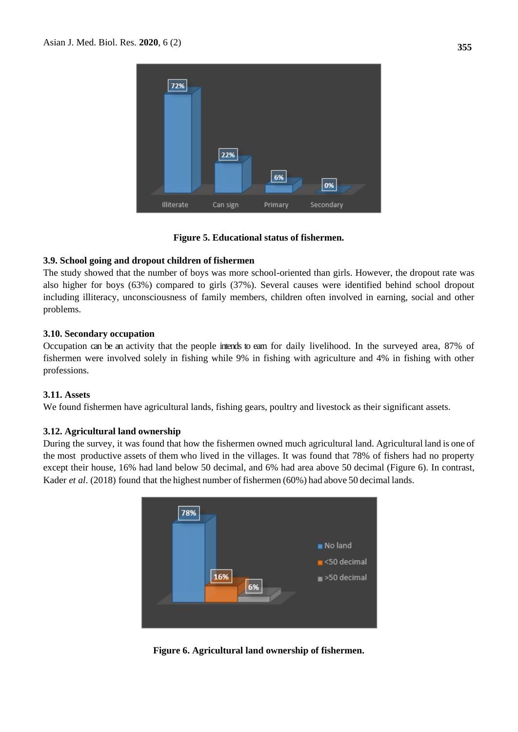| 72%        | 22%      | 6%      | 0%        |
|------------|----------|---------|-----------|
| Illiterate | Can sign | Primary | Secondary |

### **Figure 5. Educational status of fishermen.**

### **3.9. School going and dropout children of fishermen**

The study showed that the number of boys was more school-oriented than girls. However, the dropout rate was also higher for boys (63%) compared to girls (37%). Several causes were identified behind school dropout including illiteracy, unconsciousness of family members, children often involved in earning, social and other problems.

### **3.10. Secondary occupation**

Occupation can be an activity that the people intends to earn for daily livelihood. In the surveyed area, 87% of fishermen were involved solely in fishing while 9% in fishing with agriculture and 4% in fishing with other professions.

### **3.11. Assets**

We found fishermen have agricultural lands, fishing gears, poultry and livestock as their significant assets.

#### **3.12. Agricultural land ownership**

During the survey, it was found that how the fishermen owned much agricultural land. Agricultural land is one of the most productive assets of them who lived in the villages. It was found that 78% of fishers had no property except their house, 16% had land below 50 decimal, and 6% had area above 50 decimal (Figure 6). In contrast, Kader *et al*. (2018) found that the highest number of fishermen (60%) had above 50 decimal lands.



**Figure 6. Agricultural land ownership of fishermen.**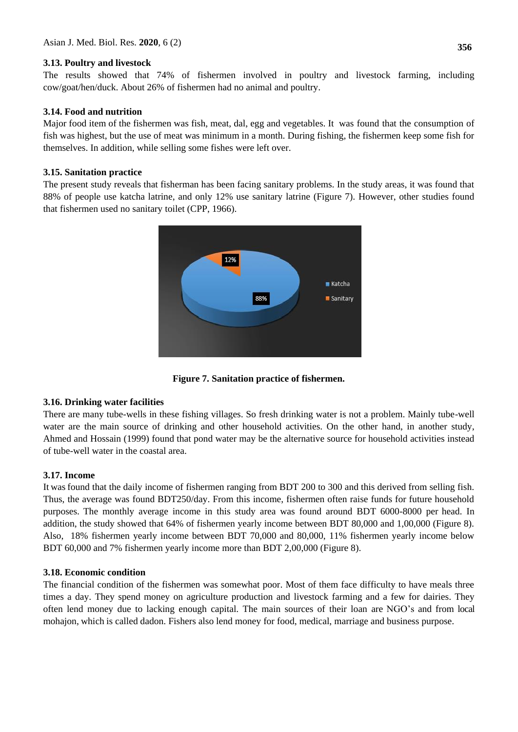# **3.13. Poultry and livestock**

The results showed that 74% of fishermen involved in poultry and livestock farming, including cow/goat/hen/duck. About 26% of fishermen had no animal and poultry.

# **3.14. Food and nutrition**

Major food item of the fishermen was fish, meat, dal, egg and vegetables. It was found that the consumption of fish was highest, but the use of meat was minimum in a month. During fishing, the fishermen keep some fish for themselves. In addition, while selling some fishes were left over.

# **3.15. Sanitation practice**

The present study reveals that fisherman has been facing sanitary problems. In the study areas, it was found that 88% of people use katcha latrine, and only 12% use sanitary latrine (Figure 7). However, other studies found that fishermen used no sanitary toilet (CPP, 1966).



**Figure 7. Sanitation practice of fishermen.**

# **3.16. Drinking water facilities**

There are many tube-wells in these fishing villages. So fresh drinking water is not a problem. Mainly tube-well water are the main source of drinking and other household activities. On the other hand, in another study, Ahmed and Hossain (1999) found that pond water may be the alternative source for household activities instead of tube-well water in the coastal area.

# **3.17. Income**

It was found that the daily income of fishermen ranging from BDT 200 to 300 and this derived from selling fish. Thus, the average was found BDT250/day. From this income, fishermen often raise funds for future household purposes. The monthly average income in this study area was found around BDT 6000-8000 per head. In addition, the study showed that 64% of fishermen yearly income between BDT 80,000 and 1,00,000 (Figure 8). Also, 18% fishermen yearly income between BDT 70,000 and 80,000, 11% fishermen yearly income below BDT 60,000 and 7% fishermen yearly income more than BDT 2,00,000 (Figure 8).

## **3.18. Economic condition**

The financial condition of the fishermen was somewhat poor. Most of them face difficulty to have meals three times a day. They spend money on agriculture production and livestock farming and a few for dairies. They often lend money due to lacking enough capital. The main sources of their loan are NGO's and from local mohajon, which is called dadon. Fishers also lend money for food, medical, marriage and business purpose.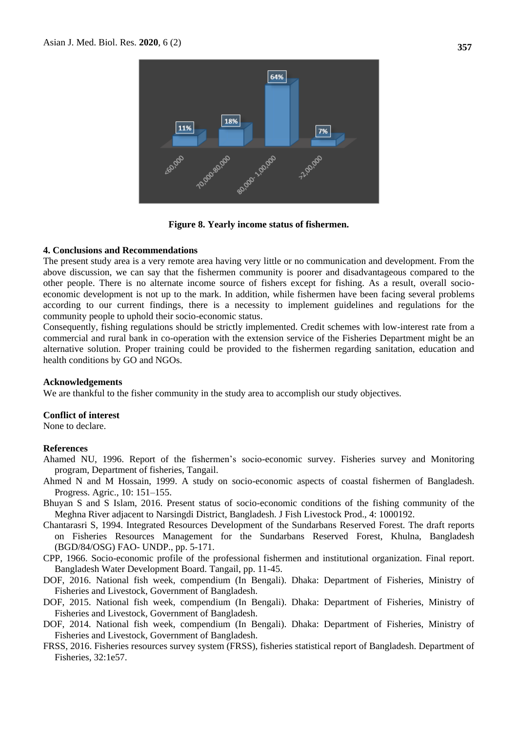

**Figure 8. Yearly income status of fishermen.**

#### **4. Conclusions and Recommendations**

The present study area is a very remote area having very little or no communication and development. From the above discussion, we can say that the fishermen community is poorer and disadvantageous compared to the other people. There is no alternate income source of fishers except for fishing. As a result, overall socioeconomic development is not up to the mark. In addition, while fishermen have been facing several problems according to our current findings, there is a necessity to implement guidelines and regulations for the community people to uphold their socio-economic status.

Consequently, fishing regulations should be strictly implemented. Credit schemes with low-interest rate from a commercial and rural bank in co-operation with the extension service of the Fisheries Department might be an alternative solution. Proper training could be provided to the fishermen regarding sanitation, education and health conditions by GO and NGOs.

#### **Acknowledgements**

We are thankful to the fisher community in the study area to accomplish our study objectives.

### **Conflict of interest**

None to declare.

#### **References**

- Ahamed NU, 1996. Report of the fishermen's socio-economic survey. Fisheries survey and Monitoring program, Department of fisheries, Tangail.
- Ahmed N and M Hossain, 1999. A study on socio-economic aspects of coastal fishermen of Bangladesh. Progress. Agric., 10: 151–155.
- Bhuyan S and S Islam, 2016. Present status of socio-economic conditions of the fishing community of the Meghna River adjacent to Narsingdi District, Bangladesh. J Fish Livestock Prod., 4: 1000192.
- Chantarasri S, 1994. Integrated Resources Development of the Sundarbans Reserved Forest. The draft reports on Fisheries Resources Management for the Sundarbans Reserved Forest, Khulna, Bangladesh (BGD/84/OSG) FAO- UNDP., pp. 5-171.
- CPP, 1966. Socio-economic profile of the professional fishermen and institutional organization. Final report. Bangladesh Water Development Board. Tangail, pp. 11-45.
- DOF, 2016. National fish week, compendium (In Bengali). Dhaka: Department of Fisheries, Ministry of Fisheries and Livestock, Government of Bangladesh.
- DOF, 2015. National fish week, compendium (In Bengali). Dhaka: Department of Fisheries, Ministry of Fisheries and Livestock, Government of Bangladesh.
- DOF, 2014. National fish week, compendium (In Bengali). Dhaka: Department of Fisheries, Ministry of Fisheries and Livestock, Government of Bangladesh.
- FRSS, 2016. Fisheries resources survey system (FRSS), fisheries statistical report of Bangladesh. Department of Fisheries, 32:1e57.